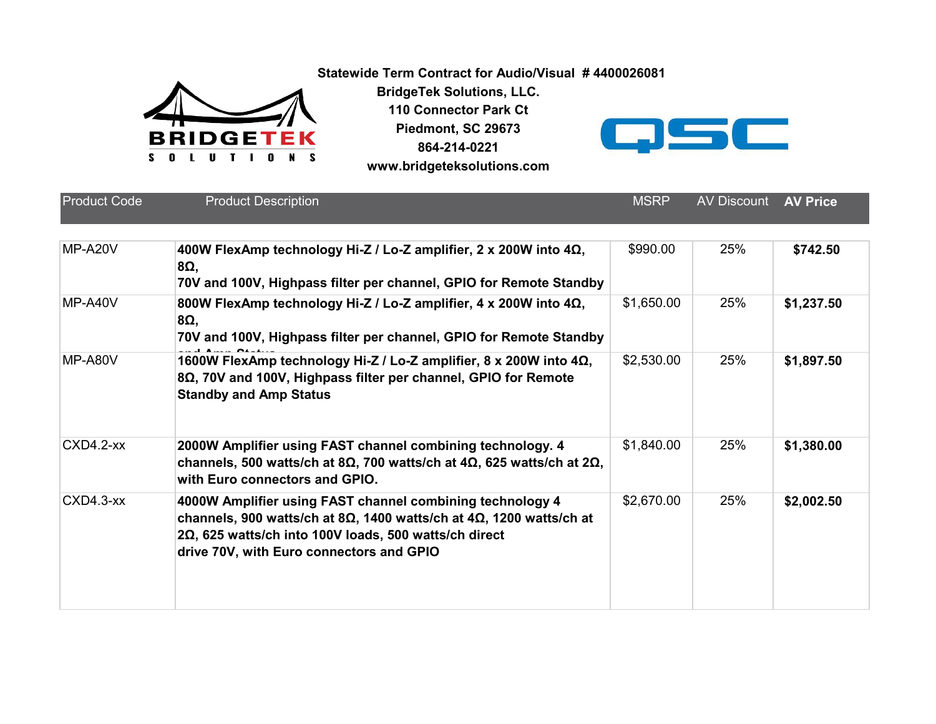**Statewide Term Contract for Audio/Visual # 4400026081**



**BridgeTek Solutions, LLC. 110 Connector Park Ct Piedmont, SC 29673**

**864-214-0221 [w](http://www.bridgeteksolutions.com/)ww.bridgeteksolutions.com**



Product Code **MSRP** Av Product Description **400W FlexAmp technology Hi-Z / Lo-Z amplifier, 2 x 200W into 4Ω,**  MP-A20V **\$742.508Ω, 70V and 100V, Highpass filter per channel, GPIO for Remote Standby 800W FlexAmp technology Hi-Z / Lo-Z amplifier, 4 x 200W into 4Ω,**  MP-A40V **\$1,237.50** \$990.00 25% **8Ω, 70V and 100V, Highpass filter per channel, GPIO for Remote Standby**  MP-A80V **1600W FlexAmp technology Hi-Z / Lo-Z amplifier, 8 x 200W into 4Ω, 32,530.00 25% \$1,897.50** \$1,650.00 25% **8Ω, 70V and 100V, Highpass filter per channel, GPIO for Remote Standby and Amp Status** \$2,530.00 25% **2000W Amplifier using FAST channel combining technology. 4** CXD4.2-xx **\$1,380.00 channels, 500 watts/ch at 8Ω, 700 watts/ch at 4Ω, 625 watts/ch at 2Ω, with Euro connectors and GPIO.**  $$1,840.00$  25% **4000W Amplifier using FAST channel combining technology 4**  CXD4.3-xx **\$2,002.50 channels, 900 watts/ch at 8Ω, 1400 watts/ch at 4Ω, 1200 watts/ch at 2Ω, 625 watts/ch into 100V loads, 500 watts/ch direct drive 70V, with Euro connectors and GPIO** \$2,670.00 25% **AV Discount AV Price**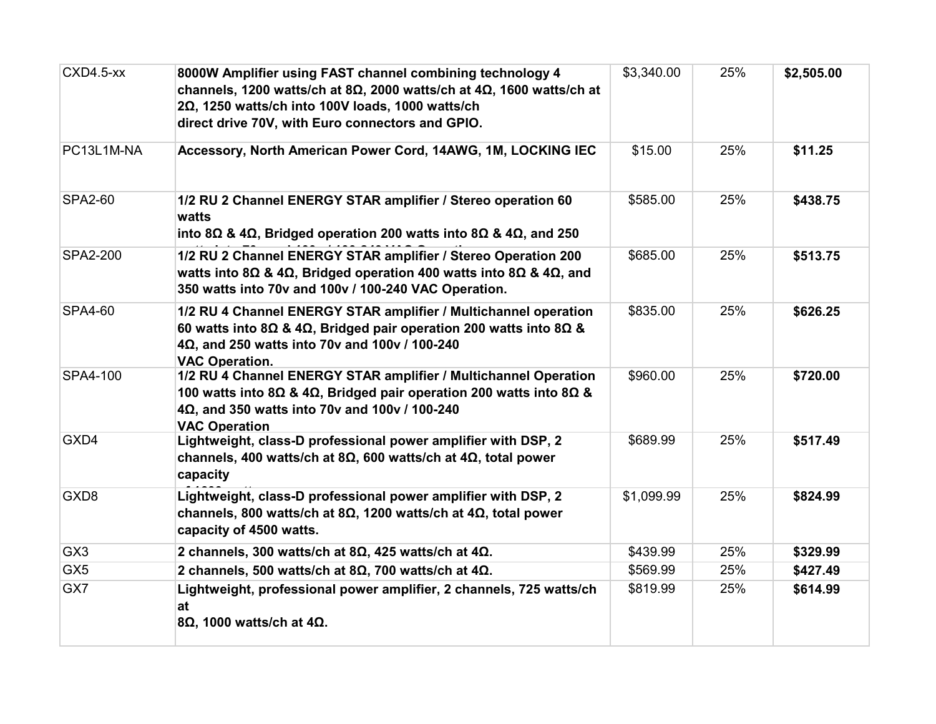| CXD4.5-xx       | 8000W Amplifier using FAST channel combining technology 4<br>channels, 1200 watts/ch at 8 $\Omega$ , 2000 watts/ch at 4 $\Omega$ , 1600 watts/ch at<br>2Ω, 1250 watts/ch into 100V loads, 1000 watts/ch<br>direct drive 70V, with Euro connectors and GPIO. | \$3,340.00 | 25% | \$2,505.00 |
|-----------------|-------------------------------------------------------------------------------------------------------------------------------------------------------------------------------------------------------------------------------------------------------------|------------|-----|------------|
| PC13L1M-NA      | Accessory, North American Power Cord, 14AWG, 1M, LOCKING IEC                                                                                                                                                                                                | \$15.00    | 25% | \$11.25    |
| <b>SPA2-60</b>  | 1/2 RU 2 Channel ENERGY STAR amplifier / Stereo operation 60<br>watts<br>into 8Ω & 4Ω, Bridged operation 200 watts into 8Ω & 4Ω, and 250                                                                                                                    | \$585.00   | 25% | \$438.75   |
| SPA2-200        | 1/2 RU 2 Channel ENERGY STAR amplifier / Stereo Operation 200<br>watts into 8 $\Omega$ & 4 $\Omega$ , Bridged operation 400 watts into 8 $\Omega$ & 4 $\Omega$ , and<br>350 watts into 70v and 100v / 100-240 VAC Operation.                                | \$685.00   | 25% | \$513.75   |
| <b>SPA4-60</b>  | 1/2 RU 4 Channel ENERGY STAR amplifier / Multichannel operation<br>60 watts into 8 $\Omega$ & 4 $\Omega$ , Bridged pair operation 200 watts into 8 $\Omega$ &<br>4Ω, and 250 watts into 70v and 100v / 100-240<br><b>VAC Operation.</b>                     | \$835.00   | 25% | \$626.25   |
| SPA4-100        | 1/2 RU 4 Channel ENERGY STAR amplifier / Multichannel Operation<br>100 watts into 8 $\Omega$ & 4 $\Omega$ , Bridged pair operation 200 watts into 8 $\Omega$ &<br>4Ω, and 350 watts into 70v and 100v / 100-240<br><b>VAC Operation</b>                     | \$960.00   | 25% | \$720.00   |
| GXD4            | Lightweight, class-D professional power amplifier with DSP, 2<br>channels, 400 watts/ch at 8Ω, 600 watts/ch at 4Ω, total power<br>capacity                                                                                                                  | \$689.99   | 25% | \$517.49   |
| GXD8            | Lightweight, class-D professional power amplifier with DSP, 2<br>channels, 800 watts/ch at 8 $\Omega$ , 1200 watts/ch at 4 $\Omega$ , total power<br>capacity of 4500 watts.                                                                                | \$1,099.99 | 25% | \$824.99   |
| GX <sub>3</sub> | 2 channels, 300 watts/ch at 8 $\Omega$ , 425 watts/ch at 4 $\Omega$ .                                                                                                                                                                                       | \$439.99   | 25% | \$329.99   |
| GX <sub>5</sub> | 2 channels, 500 watts/ch at 8 $\Omega$ , 700 watts/ch at 4 $\Omega$ .                                                                                                                                                                                       | \$569.99   | 25% | \$427.49   |
| GX7             | Lightweight, professional power amplifier, 2 channels, 725 watts/ch<br>at<br>8 $\Omega$ , 1000 watts/ch at 4 $\Omega$ .                                                                                                                                     | \$819.99   | 25% | \$614.99   |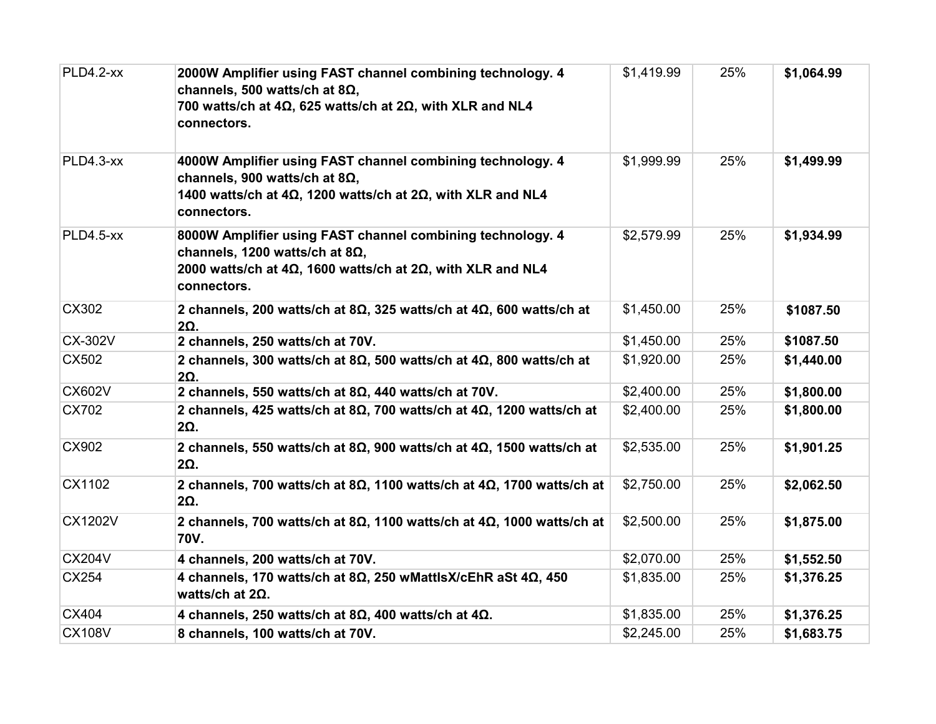| PLD4.2-xx      | 2000W Amplifier using FAST channel combining technology. 4<br>channels, 500 watts/ch at 8 $\Omega$ ,<br>700 watts/ch at $4\Omega$ , 625 watts/ch at $2\Omega$ , with XLR and NL4<br>connectors.    | \$1,419.99 | 25% | \$1,064.99 |
|----------------|----------------------------------------------------------------------------------------------------------------------------------------------------------------------------------------------------|------------|-----|------------|
| PLD4.3-xx      | 4000W Amplifier using FAST channel combining technology. 4<br>channels, 900 watts/ch at 8Ω,<br>1400 watts/ch at $4\Omega$ , 1200 watts/ch at $2\Omega$ , with XLR and NL4<br>connectors.           | \$1,999.99 | 25% | \$1,499.99 |
| PLD4.5-xx      | 8000W Amplifier using FAST channel combining technology. 4<br>channels, 1200 watts/ch at 8 $\Omega$ ,<br>2000 watts/ch at $4\Omega$ , 1600 watts/ch at $2\Omega$ , with XLR and NL4<br>connectors. | \$2,579.99 | 25% | \$1,934.99 |
| CX302          | 2 channels, 200 watts/ch at 8 $\Omega$ , 325 watts/ch at 4 $\Omega$ , 600 watts/ch at<br>$2\Omega$ .                                                                                               | \$1,450.00 | 25% | \$1087.50  |
| <b>CX-302V</b> | 2 channels, 250 watts/ch at 70V.                                                                                                                                                                   | \$1,450.00 | 25% | \$1087.50  |
| CX502          | 2 channels, 300 watts/ch at 8 $\Omega$ , 500 watts/ch at 4 $\Omega$ , 800 watts/ch at<br>$2\Omega$ .                                                                                               | \$1,920.00 | 25% | \$1,440.00 |
| <b>CX602V</b>  | 2 channels, 550 watts/ch at 8 $\Omega$ , 440 watts/ch at 70V.                                                                                                                                      | \$2,400.00 | 25% | \$1,800.00 |
| CX702          | 2 channels, 425 watts/ch at 8 $\Omega$ , 700 watts/ch at 4 $\Omega$ , 1200 watts/ch at<br>$2\Omega$ .                                                                                              | \$2,400.00 | 25% | \$1,800.00 |
| CX902          | 2 channels, 550 watts/ch at 8 $\Omega$ , 900 watts/ch at 4 $\Omega$ , 1500 watts/ch at<br>2Ω.                                                                                                      | \$2,535.00 | 25% | \$1,901.25 |
| CX1102         | 2 channels, 700 watts/ch at 8 $\Omega$ , 1100 watts/ch at 4 $\Omega$ , 1700 watts/ch at<br>$2\Omega$ .                                                                                             | \$2,750.00 | 25% | \$2,062.50 |
| <b>CX1202V</b> | 2 channels, 700 watts/ch at 8 $\Omega$ , 1100 watts/ch at 4 $\Omega$ , 1000 watts/ch at<br>70V.                                                                                                    | \$2,500.00 | 25% | \$1,875.00 |
| <b>CX204V</b>  | 4 channels, 200 watts/ch at 70V.                                                                                                                                                                   | \$2,070.00 | 25% | \$1,552.50 |
| CX254          | 4 channels, 170 watts/ch at 8Ω, 250 wMattlsX/cEhR aSt 4Ω, 450<br>watts/ch at $2\Omega$ .                                                                                                           | \$1,835.00 | 25% | \$1,376.25 |
| CX404          | 4 channels, 250 watts/ch at 8 $\Omega$ , 400 watts/ch at 4 $\Omega$ .                                                                                                                              | \$1,835.00 | 25% | \$1,376.25 |
| <b>CX108V</b>  | 8 channels, 100 watts/ch at 70V.                                                                                                                                                                   | \$2,245.00 | 25% | \$1,683.75 |